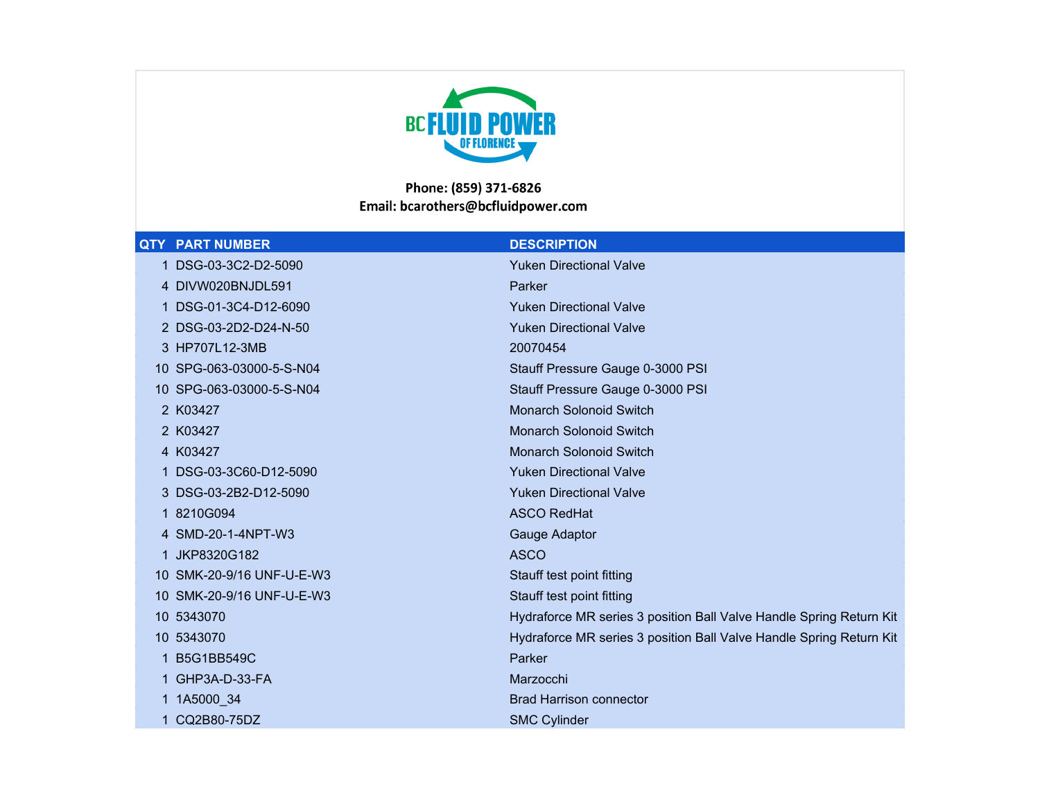

## Phone: (859) 371-6826 Email: bcarothers@bcfluidpower.com

## **QTY** PART NUMBER **DESCRIPTION**

| DSG-03-3C2-D2-5090        | <b>Yuken Directional Valve</b>                                      |
|---------------------------|---------------------------------------------------------------------|
| 4 DIVW020BNJDL591         | Parker                                                              |
| 1 DSG-01-3C4-D12-6090     | <b>Yuken Directional Valve</b>                                      |
| 2 DSG-03-2D2-D24-N-50     | <b>Yuken Directional Valve</b>                                      |
| 3 HP707L12-3MB            | 20070454                                                            |
| 10 SPG-063-03000-5-S-N04  | Stauff Pressure Gauge 0-3000 PSI                                    |
| 10 SPG-063-03000-5-S-N04  | Stauff Pressure Gauge 0-3000 PSI                                    |
| 2 K03427                  | <b>Monarch Solonoid Switch</b>                                      |
| 2 K03427                  | <b>Monarch Solonoid Switch</b>                                      |
| 4 K03427                  | <b>Monarch Solonoid Switch</b>                                      |
| 1 DSG-03-3C60-D12-5090    | <b>Yuken Directional Valve</b>                                      |
| 3 DSG-03-2B2-D12-5090     | <b>Yuken Directional Valve</b>                                      |
| 1 8210G094                | <b>ASCO RedHat</b>                                                  |
| 4 SMD-20-1-4NPT-W3        | Gauge Adaptor                                                       |
| JKP8320G182<br>1.         | <b>ASCO</b>                                                         |
| 10 SMK-20-9/16 UNF-U-E-W3 | Stauff test point fitting                                           |
| 10 SMK-20-9/16 UNF-U-E-W3 | Stauff test point fitting                                           |
| 10 5343070                | Hydraforce MR series 3 position Ball Valve Handle Spring Return Kit |
| 10 5343070                | Hydraforce MR series 3 position Ball Valve Handle Spring Return Kit |
| <b>B5G1BB549C</b>         | Parker                                                              |
| 1 GHP3A-D-33-FA           | Marzocchi                                                           |
| 1 1A5000 34               | <b>Brad Harrison connector</b>                                      |
| CQ2B80-75DZ               | <b>SMC Cylinder</b>                                                 |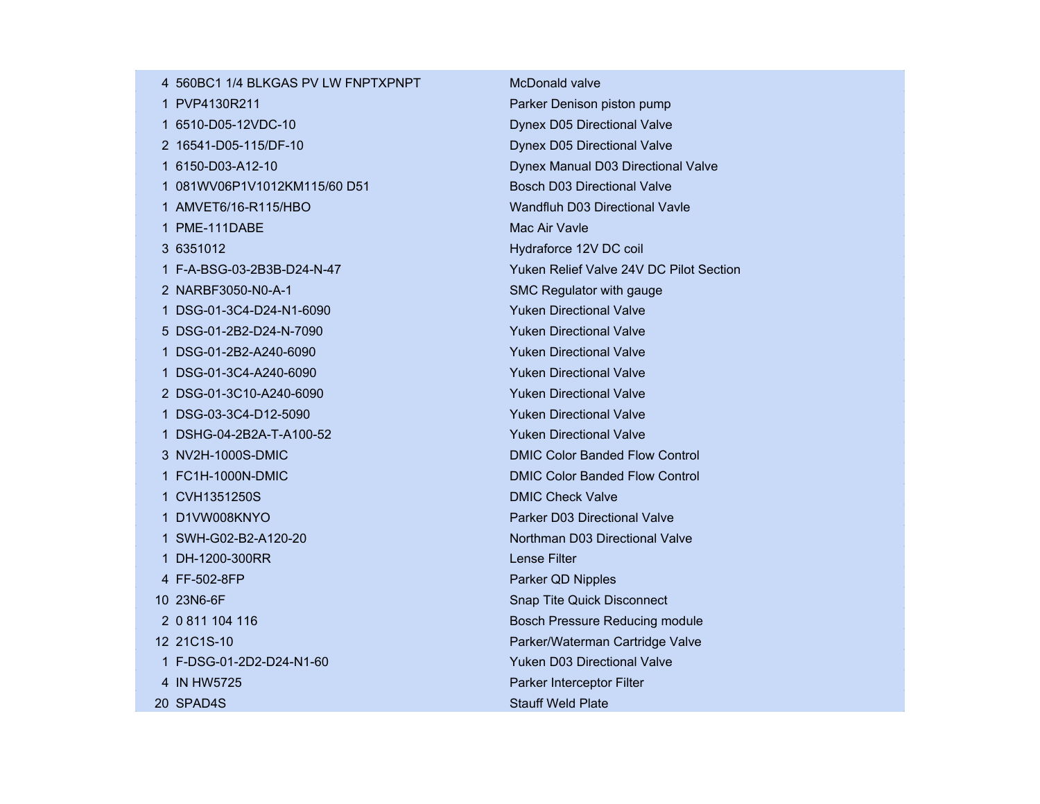| 4 560BC1 1/4 BLKGAS PV LW FNPTXPNPT | McDonald valve                          |
|-------------------------------------|-----------------------------------------|
| 1 PVP4130R211                       | Parker Denison piston pump              |
| 1 6510-D05-12VDC-10                 | Dynex D05 Directional Valve             |
| 2 16541-D05-115/DF-10               | Dynex D05 Directional Valve             |
| 1 6150-D03-A12-10                   | Dynex Manual D03 Directional Valve      |
| 1 081WV06P1V1012KM115/60 D51        | <b>Bosch D03 Directional Valve</b>      |
| 1 AMVET6/16-R115/HBO                | Wandfluh D03 Directional Vavle          |
| 1 PME-111DABE                       | Mac Air Vavle                           |
| 3 6351012                           | Hydraforce 12V DC coil                  |
| 1 F-A-BSG-03-2B3B-D24-N-47          | Yuken Relief Valve 24V DC Pilot Section |
| 2 NARBF3050-N0-A-1                  | SMC Regulator with gauge                |
| 1 DSG-01-3C4-D24-N1-6090            | <b>Yuken Directional Valve</b>          |
| 5 DSG-01-2B2-D24-N-7090             | <b>Yuken Directional Valve</b>          |
| 1 DSG-01-2B2-A240-6090              | <b>Yuken Directional Valve</b>          |
| 1 DSG-01-3C4-A240-6090              | <b>Yuken Directional Valve</b>          |
| 2 DSG-01-3C10-A240-6090             | <b>Yuken Directional Valve</b>          |
| 1 DSG-03-3C4-D12-5090               | <b>Yuken Directional Valve</b>          |
| 1 DSHG-04-2B2A-T-A100-52            | <b>Yuken Directional Valve</b>          |
| 3 NV2H-1000S-DMIC                   | <b>DMIC Color Banded Flow Control</b>   |
| 1 FC1H-1000N-DMIC                   | <b>DMIC Color Banded Flow Control</b>   |
| 1 CVH1351250S                       | <b>DMIC Check Valve</b>                 |
| 1 D1VW008KNYO                       | Parker D03 Directional Valve            |
| 1 SWH-G02-B2-A120-20                | Northman D03 Directional Valve          |
| 1 DH-1200-300RR                     | <b>Lense Filter</b>                     |
| 4 FF-502-8FP                        | Parker QD Nipples                       |
| 10 23N6-6F                          | Snap Tite Quick Disconnect              |
| 2 0 811 104 116                     | Bosch Pressure Reducing module          |
| 12 21C1S-10                         | Parker/Waterman Cartridge Valve         |
| 1 F-DSG-01-2D2-D24-N1-60            | Yuken D03 Directional Valve             |
| 4 IN HW5725                         | Parker Interceptor Filter               |
| 20 SPAD4S                           | <b>Stauff Weld Plate</b>                |